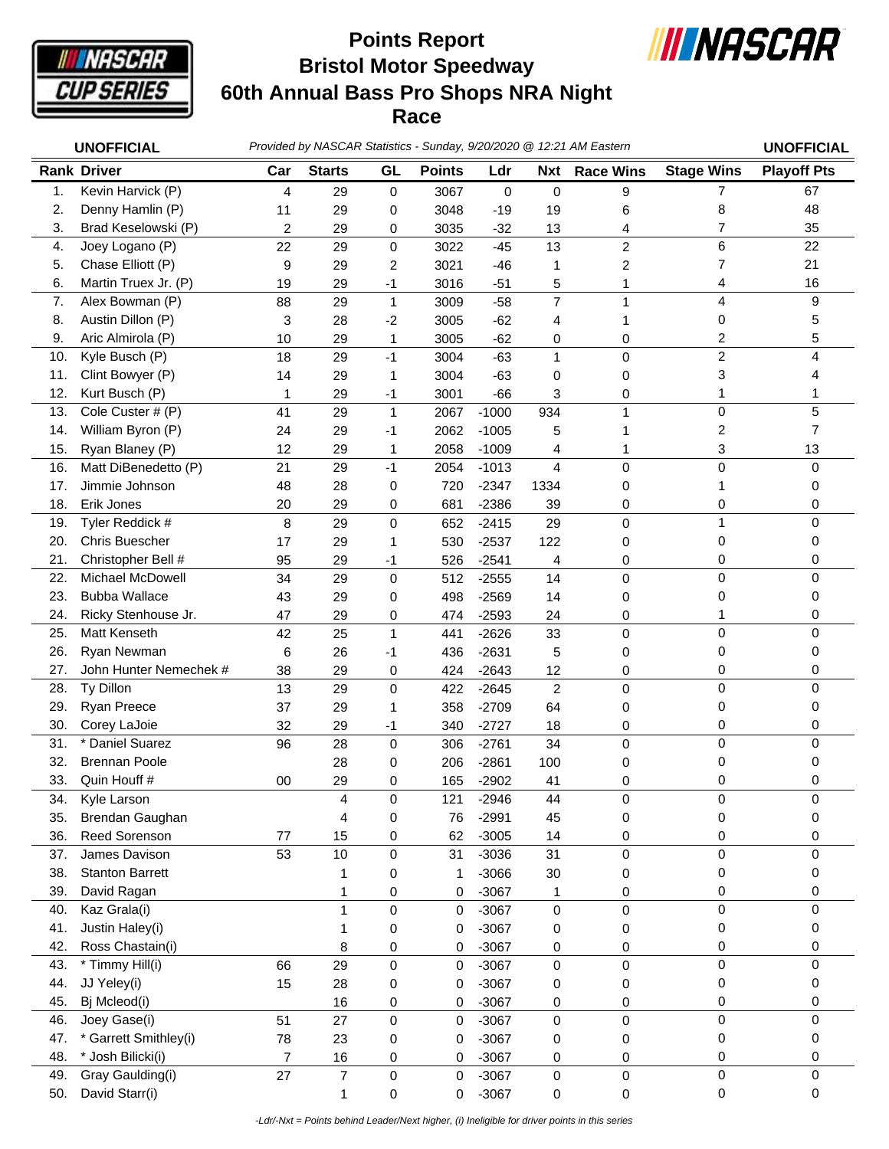

## **Bristol Motor Speedway 60th Annual Bass Pro Shops NRA Night Race Points Report**



|     | <b>UNOFFICIAL</b>      | Provided by NASCAR Statistics - Sunday, 9/20/2020 @ 12:21 AM Eastern |               |              |               |         |                |                  |                   | <b>UNOFFICIAL</b>  |
|-----|------------------------|----------------------------------------------------------------------|---------------|--------------|---------------|---------|----------------|------------------|-------------------|--------------------|
|     | <b>Rank Driver</b>     | Car                                                                  | <b>Starts</b> | GL           | <b>Points</b> | Ldr     | <b>Nxt</b>     | <b>Race Wins</b> | <b>Stage Wins</b> | <b>Playoff Pts</b> |
| 1.  | Kevin Harvick (P)      | 4                                                                    | 29            | 0            | 3067          | 0       | 0              | 9                | $\overline{7}$    | 67                 |
| 2.  | Denny Hamlin (P)       | 11                                                                   | 29            | 0            | 3048          | $-19$   | 19             | 6                | 8                 | 48                 |
| 3.  | Brad Keselowski (P)    | 2                                                                    | 29            | 0            | 3035          | $-32$   | 13             | 4                | 7                 | 35                 |
| 4.  | Joey Logano (P)        | 22                                                                   | 29            | 0            | 3022          | $-45$   | 13             | 2                | 6                 | 22                 |
| 5.  | Chase Elliott (P)      | 9                                                                    | 29            | 2            | 3021          | $-46$   | 1              | 2                | 7                 | 21                 |
| 6.  | Martin Truex Jr. (P)   | 19                                                                   | 29            | $-1$         | 3016          | $-51$   | 5              | 1                | 4                 | 16                 |
| 7.  | Alex Bowman (P)        | 88                                                                   | 29            | $\mathbf 1$  | 3009          | $-58$   | $\overline{7}$ | 1                | 4                 | 9                  |
| 8.  | Austin Dillon (P)      | 3                                                                    | 28            | $-2$         | 3005          | $-62$   | 4              | 1                | 0                 | 5                  |
| 9.  | Aric Almirola (P)      | 10                                                                   | 29            | 1            | 3005          | $-62$   | 0              | 0                | 2                 | 5                  |
| 10. | Kyle Busch (P)         | 18                                                                   | 29            | $-1$         | 3004          | $-63$   | $\mathbf{1}$   | 0                | $\overline{c}$    | 4                  |
| 11. | Clint Bowyer (P)       | 14                                                                   | 29            | 1            | 3004          | $-63$   | 0              | 0                | 3                 | 4                  |
| 12. | Kurt Busch (P)         | 1                                                                    | 29            | -1           | 3001          | $-66$   | 3              | 0                | 1                 | 1                  |
| 13. | Cole Custer # (P)      | 41                                                                   | 29            | $\mathbf{1}$ | 2067          | $-1000$ | 934            | 1                | 0                 | 5                  |
| 14. | William Byron (P)      | 24                                                                   | 29            | -1           | 2062          | $-1005$ | 5              |                  | 2                 | $\overline{7}$     |
| 15. | Ryan Blaney (P)        | 12                                                                   | 29            | 1            | 2058          | $-1009$ | 4              | 1                | 3                 | 13                 |
| 16. | Matt DiBenedetto (P)   | 21                                                                   | 29            | $-1$         | 2054          | $-1013$ | 4              | 0                | 0                 | 0                  |
| 17. | Jimmie Johnson         | 48                                                                   | 28            | 0            | 720           | $-2347$ | 1334           | 0                | 1                 | 0                  |
| 18. | Erik Jones             | 20                                                                   | 29            | 0            | 681           | $-2386$ | 39             | 0                | 0                 | 0                  |
| 19. | Tyler Reddick #        | 8                                                                    | 29            | $\mathbf 0$  | 652           | $-2415$ | 29             | 0                | $\mathbf{1}$      | 0                  |
| 20. | <b>Chris Buescher</b>  | 17                                                                   | 29            | 1            | 530           | $-2537$ | 122            | 0                | 0                 | 0                  |
| 21. | Christopher Bell #     | 95                                                                   | 29            | -1           | 526           | $-2541$ | 4              | 0                | 0                 | 0                  |
| 22. | Michael McDowell       | 34                                                                   | 29            | $\mathbf 0$  | 512           | $-2555$ | 14             | $\pmb{0}$        | 0                 | 0                  |
| 23. | <b>Bubba Wallace</b>   | 43                                                                   | 29            | 0            | 498           | $-2569$ | 14             | 0                | 0                 | 0                  |
| 24. | Ricky Stenhouse Jr.    | 47                                                                   | 29            | 0            | 474           | $-2593$ | 24             | 0                | 1                 | 0                  |
| 25. | Matt Kenseth           | 42                                                                   | 25            | $\mathbf{1}$ | 441           | $-2626$ | 33             | 0                | $\mathbf 0$       | 0                  |
| 26. | Ryan Newman            | 6                                                                    | 26            | -1           | 436           | $-2631$ | 5              | 0                | 0                 | 0                  |
| 27. | John Hunter Nemechek # | 38                                                                   | 29            | 0            | 424           | $-2643$ | 12             | 0                | 0                 | 0                  |
| 28. | Ty Dillon              | 13                                                                   | 29            | $\mathbf 0$  | 422           | $-2645$ | $\overline{2}$ | 0                | $\mathbf 0$       | 0                  |
| 29. | Ryan Preece            | 37                                                                   | 29            | 1            | 358           | $-2709$ | 64             | 0                | 0                 | 0                  |
| 30. | Corey LaJoie           | 32                                                                   | 29            | -1           | 340           | $-2727$ | 18             | 0                | 0                 | 0                  |
| 31. | Daniel Suarez          | 96                                                                   | 28            | $\pmb{0}$    | 306           | $-2761$ | 34             | 0                | 0                 | 0                  |
| 32. | <b>Brennan Poole</b>   |                                                                      | 28            | 0            | 206           | $-2861$ | 100            | 0                | 0                 | 0                  |
| 33. | Quin Houff #           | 00                                                                   | 29            | 0            | 165           | $-2902$ | 41             | 0                | 0                 | 0                  |
| 34. | Kyle Larson            |                                                                      | 4             | $\pmb{0}$    | 121           | $-2946$ | 44             | $\pmb{0}$        | 0                 | 0                  |
| 35. | Brendan Gaughan        |                                                                      | 4             | 0            | 76            | $-2991$ | 45             | 0                | 0                 | 0                  |
| 36. | Reed Sorenson          | 77                                                                   | 15            | 0            | 62            | $-3005$ | 14             | 0                | 0                 | 0                  |
| 37. | James Davison          | 53                                                                   | 10            | $\pmb{0}$    | 31            | $-3036$ | 31             | $\mathbf 0$      | 0                 | 0                  |
| 38. | <b>Stanton Barrett</b> |                                                                      | 1             | 0            | 1             | $-3066$ | 30             | 0                | 0                 | 0                  |
| 39. | David Ragan            |                                                                      | 1             | $\pmb{0}$    | 0             | $-3067$ | 1              | 0                | 0                 | 0                  |
| 40. | Kaz Grala(i)           |                                                                      | $\mathbf{1}$  | $\pmb{0}$    | 0             | $-3067$ | 0              | 0                | $\mathsf 0$       | 0                  |
| 41. | Justin Haley(i)        |                                                                      | 1             | 0            | 0             | $-3067$ | 0              | 0                | 0                 | 0                  |
| 42. | Ross Chastain(i)       |                                                                      | 8             | 0            | 0             | $-3067$ | 0              | 0                | 0                 | 0                  |
| 43. | * Timmy Hill(i)        | 66                                                                   | 29            | $\pmb{0}$    | 0             | $-3067$ | 0              | 0                | 0                 | 0                  |
| 44. | JJ Yeley(i)            | 15                                                                   | 28            | 0            | 0             | $-3067$ | 0              | 0                | 0                 | 0                  |
| 45. | Bj Mcleod(i)           |                                                                      | 16            | 0            | 0             | $-3067$ | 0              | 0                | 0                 | 0                  |
| 46. | Joey Gase(i)           | 51                                                                   | 27            | $\pmb{0}$    | 0             | $-3067$ | 0              | 0                | $\mathbf 0$       | 0                  |
| 47. | Garrett Smithley(i)    | 78                                                                   | 23            | 0            | 0             | $-3067$ | 0              | 0                | 0                 | 0                  |
| 48. | * Josh Bilicki(i)      | 7                                                                    | 16            | 0            | 0             | $-3067$ | 0              | 0                | 0                 | 0                  |
| 49. | Gray Gaulding(i)       | 27                                                                   | 7             | 0            | 0             | $-3067$ | 0              | 0                | 0                 | 0                  |
| 50. | David Starr(i)         |                                                                      | 1             | 0            | 0             | $-3067$ | 0              | 0                | 0                 | 0                  |